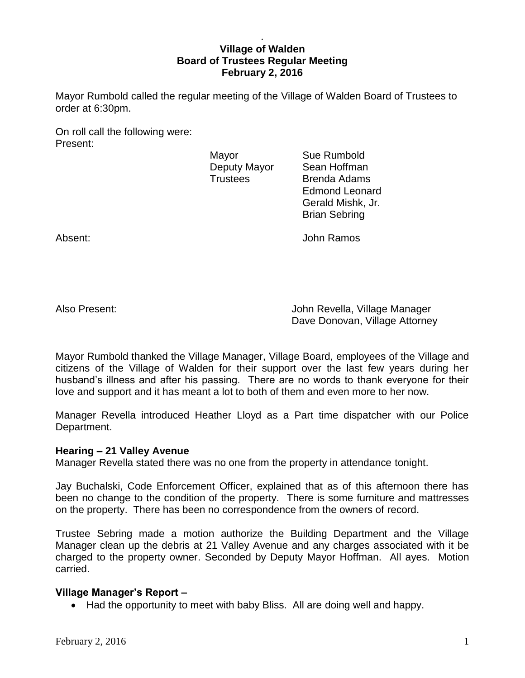### . **Village of Walden Board of Trustees Regular Meeting February 2, 2016**

Mayor Rumbold called the regular meeting of the Village of Walden Board of Trustees to order at 6:30pm.

On roll call the following were: Present:

Mayor **Sue Rumbold** 

Deputy Mayor Sean Hoffman Trustees Brenda Adams Edmond Leonard Gerald Mishk, Jr. Brian Sebring

Absent: John Ramos

Also Present: John Revella, Village Manager Dave Donovan, Village Attorney

Mayor Rumbold thanked the Village Manager, Village Board, employees of the Village and citizens of the Village of Walden for their support over the last few years during her husband's illness and after his passing. There are no words to thank everyone for their love and support and it has meant a lot to both of them and even more to her now.

Manager Revella introduced Heather Lloyd as a Part time dispatcher with our Police Department.

## **Hearing – 21 Valley Avenue**

Manager Revella stated there was no one from the property in attendance tonight.

Jay Buchalski, Code Enforcement Officer, explained that as of this afternoon there has been no change to the condition of the property. There is some furniture and mattresses on the property. There has been no correspondence from the owners of record.

Trustee Sebring made a motion authorize the Building Department and the Village Manager clean up the debris at 21 Valley Avenue and any charges associated with it be charged to the property owner. Seconded by Deputy Mayor Hoffman. All ayes. Motion carried.

# **Village Manager's Report –**

• Had the opportunity to meet with baby Bliss. All are doing well and happy.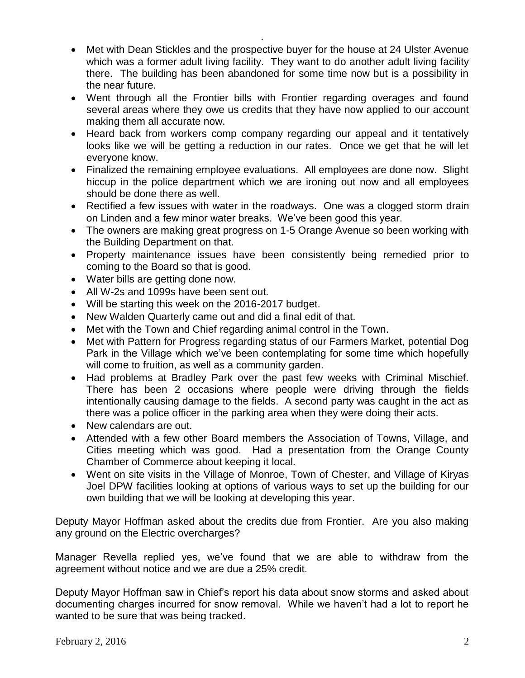• Met with Dean Stickles and the prospective buyer for the house at 24 Ulster Avenue which was a former adult living facility. They want to do another adult living facility there. The building has been abandoned for some time now but is a possibility in the near future.

.

- Went through all the Frontier bills with Frontier regarding overages and found several areas where they owe us credits that they have now applied to our account making them all accurate now.
- Heard back from workers comp company regarding our appeal and it tentatively looks like we will be getting a reduction in our rates. Once we get that he will let everyone know.
- Finalized the remaining employee evaluations. All employees are done now. Slight hiccup in the police department which we are ironing out now and all employees should be done there as well.
- Rectified a few issues with water in the roadways. One was a clogged storm drain on Linden and a few minor water breaks. We've been good this year.
- The owners are making great progress on 1-5 Orange Avenue so been working with the Building Department on that.
- Property maintenance issues have been consistently being remedied prior to coming to the Board so that is good.
- Water bills are getting done now.
- All W-2s and 1099s have been sent out.
- Will be starting this week on the 2016-2017 budget.
- New Walden Quarterly came out and did a final edit of that.
- Met with the Town and Chief regarding animal control in the Town.
- Met with Pattern for Progress regarding status of our Farmers Market, potential Dog Park in the Village which we've been contemplating for some time which hopefully will come to fruition, as well as a community garden.
- Had problems at Bradley Park over the past few weeks with Criminal Mischief. There has been 2 occasions where people were driving through the fields intentionally causing damage to the fields. A second party was caught in the act as there was a police officer in the parking area when they were doing their acts.
- New calendars are out.
- Attended with a few other Board members the Association of Towns, Village, and Cities meeting which was good. Had a presentation from the Orange County Chamber of Commerce about keeping it local.
- Went on site visits in the Village of Monroe, Town of Chester, and Village of Kiryas Joel DPW facilities looking at options of various ways to set up the building for our own building that we will be looking at developing this year.

Deputy Mayor Hoffman asked about the credits due from Frontier. Are you also making any ground on the Electric overcharges?

Manager Revella replied yes, we've found that we are able to withdraw from the agreement without notice and we are due a 25% credit.

Deputy Mayor Hoffman saw in Chief's report his data about snow storms and asked about documenting charges incurred for snow removal. While we haven't had a lot to report he wanted to be sure that was being tracked.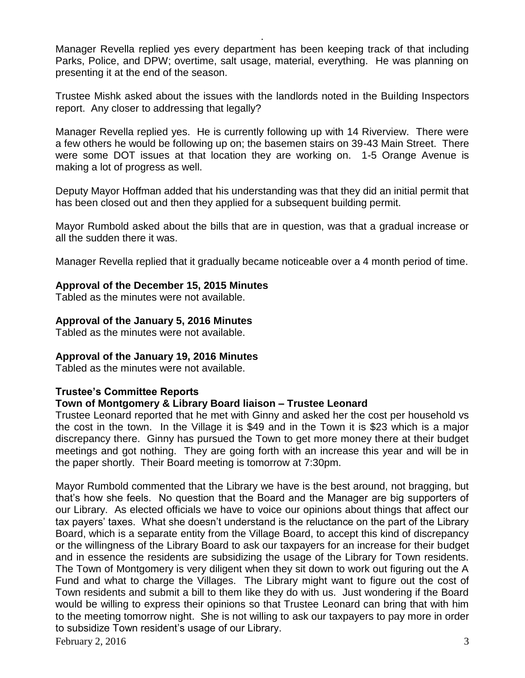Manager Revella replied yes every department has been keeping track of that including Parks, Police, and DPW; overtime, salt usage, material, everything. He was planning on presenting it at the end of the season.

.

Trustee Mishk asked about the issues with the landlords noted in the Building Inspectors report. Any closer to addressing that legally?

Manager Revella replied yes. He is currently following up with 14 Riverview. There were a few others he would be following up on; the basemen stairs on 39-43 Main Street. There were some DOT issues at that location they are working on. 1-5 Orange Avenue is making a lot of progress as well.

Deputy Mayor Hoffman added that his understanding was that they did an initial permit that has been closed out and then they applied for a subsequent building permit.

Mayor Rumbold asked about the bills that are in question, was that a gradual increase or all the sudden there it was.

Manager Revella replied that it gradually became noticeable over a 4 month period of time.

### **Approval of the December 15, 2015 Minutes**

Tabled as the minutes were not available.

## **Approval of the January 5, 2016 Minutes**

Tabled as the minutes were not available.

#### **Approval of the January 19, 2016 Minutes**

Tabled as the minutes were not available.

## **Trustee's Committee Reports**

#### **Town of Montgomery & Library Board liaison – Trustee Leonard**

Trustee Leonard reported that he met with Ginny and asked her the cost per household vs the cost in the town. In the Village it is \$49 and in the Town it is \$23 which is a major discrepancy there. Ginny has pursued the Town to get more money there at their budget meetings and got nothing. They are going forth with an increase this year and will be in the paper shortly. Their Board meeting is tomorrow at 7:30pm.

Mayor Rumbold commented that the Library we have is the best around, not bragging, but that's how she feels. No question that the Board and the Manager are big supporters of our Library. As elected officials we have to voice our opinions about things that affect our tax payers' taxes. What she doesn't understand is the reluctance on the part of the Library Board, which is a separate entity from the Village Board, to accept this kind of discrepancy or the willingness of the Library Board to ask our taxpayers for an increase for their budget and in essence the residents are subsidizing the usage of the Library for Town residents. The Town of Montgomery is very diligent when they sit down to work out figuring out the A Fund and what to charge the Villages. The Library might want to figure out the cost of Town residents and submit a bill to them like they do with us. Just wondering if the Board would be willing to express their opinions so that Trustee Leonard can bring that with him to the meeting tomorrow night. She is not willing to ask our taxpayers to pay more in order to subsidize Town resident's usage of our Library.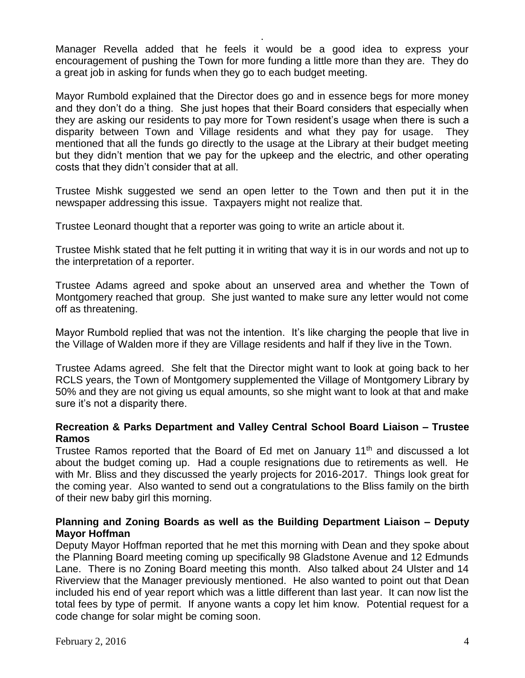Manager Revella added that he feels it would be a good idea to express your encouragement of pushing the Town for more funding a little more than they are. They do a great job in asking for funds when they go to each budget meeting.

.

Mayor Rumbold explained that the Director does go and in essence begs for more money and they don't do a thing. She just hopes that their Board considers that especially when they are asking our residents to pay more for Town resident's usage when there is such a disparity between Town and Village residents and what they pay for usage. They mentioned that all the funds go directly to the usage at the Library at their budget meeting but they didn't mention that we pay for the upkeep and the electric, and other operating costs that they didn't consider that at all.

Trustee Mishk suggested we send an open letter to the Town and then put it in the newspaper addressing this issue. Taxpayers might not realize that.

Trustee Leonard thought that a reporter was going to write an article about it.

Trustee Mishk stated that he felt putting it in writing that way it is in our words and not up to the interpretation of a reporter.

Trustee Adams agreed and spoke about an unserved area and whether the Town of Montgomery reached that group. She just wanted to make sure any letter would not come off as threatening.

Mayor Rumbold replied that was not the intention. It's like charging the people that live in the Village of Walden more if they are Village residents and half if they live in the Town.

Trustee Adams agreed. She felt that the Director might want to look at going back to her RCLS years, the Town of Montgomery supplemented the Village of Montgomery Library by 50% and they are not giving us equal amounts, so she might want to look at that and make sure it's not a disparity there.

## **Recreation & Parks Department and Valley Central School Board Liaison – Trustee Ramos**

Trustee Ramos reported that the Board of Ed met on January 11<sup>th</sup> and discussed a lot about the budget coming up. Had a couple resignations due to retirements as well. He with Mr. Bliss and they discussed the yearly projects for 2016-2017. Things look great for the coming year. Also wanted to send out a congratulations to the Bliss family on the birth of their new baby girl this morning.

## **Planning and Zoning Boards as well as the Building Department Liaison – Deputy Mayor Hoffman**

Deputy Mayor Hoffman reported that he met this morning with Dean and they spoke about the Planning Board meeting coming up specifically 98 Gladstone Avenue and 12 Edmunds Lane. There is no Zoning Board meeting this month. Also talked about 24 Ulster and 14 Riverview that the Manager previously mentioned. He also wanted to point out that Dean included his end of year report which was a little different than last year. It can now list the total fees by type of permit. If anyone wants a copy let him know. Potential request for a code change for solar might be coming soon.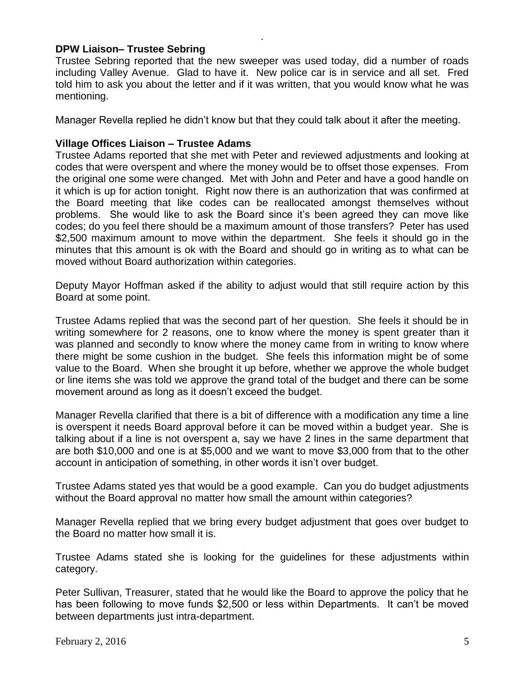### **DPW Liaison– Trustee Sebring**

Trustee Sebring reported that the new sweeper was used today, did a number of roads including Valley Avenue. Glad to have it. New police car is in service and all set. Fred told him to ask you about the letter and if it was written, that you would know what he was mentioning.

.

Manager Revella replied he didn't know but that they could talk about it after the meeting.

### **Village Offices Liaison – Trustee Adams**

Trustee Adams reported that she met with Peter and reviewed adjustments and looking at codes that were overspent and where the money would be to offset those expenses. From the original one some were changed. Met with John and Peter and have a good handle on it which is up for action tonight. Right now there is an authorization that was confirmed at the Board meeting that like codes can be reallocated amongst themselves without problems. She would like to ask the Board since it's been agreed they can move like codes; do you feel there should be a maximum amount of those transfers? Peter has used \$2,500 maximum amount to move within the department. She feels it should go in the minutes that this amount is ok with the Board and should go in writing as to what can be moved without Board authorization within categories.

Deputy Mayor Hoffman asked if the ability to adjust would that still require action by this Board at some point.

Trustee Adams replied that was the second part of her question. She feels it should be in writing somewhere for 2 reasons, one to know where the money is spent greater than it was planned and secondly to know where the money came from in writing to know where there might be some cushion in the budget. She feels this information might be of some value to the Board. When she brought it up before, whether we approve the whole budget or line items she was told we approve the grand total of the budget and there can be some movement around as long as it doesn't exceed the budget.

Manager Revella clarified that there is a bit of difference with a modification any time a line is overspent it needs Board approval before it can be moved within a budget year. She is talking about if a line is not overspent a, say we have 2 lines in the same department that are both \$10,000 and one is at \$5,000 and we want to move \$3,000 from that to the other account in anticipation of something, in other words it isn't over budget.

Trustee Adams stated yes that would be a good example. Can you do budget adjustments without the Board approval no matter how small the amount within categories?

Manager Revella replied that we bring every budget adjustment that goes over budget to the Board no matter how small it is.

Trustee Adams stated she is looking for the guidelines for these adjustments within category.

Peter Sullivan, Treasurer, stated that he would like the Board to approve the policy that he has been following to move funds \$2,500 or less within Departments. It can't be moved between departments just intra-department.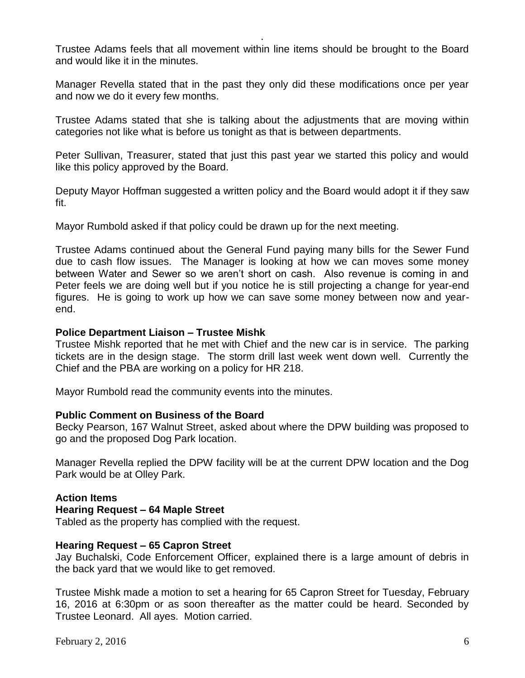Trustee Adams feels that all movement within line items should be brought to the Board and would like it in the minutes.

.

Manager Revella stated that in the past they only did these modifications once per year and now we do it every few months.

Trustee Adams stated that she is talking about the adjustments that are moving within categories not like what is before us tonight as that is between departments.

Peter Sullivan, Treasurer, stated that just this past year we started this policy and would like this policy approved by the Board.

Deputy Mayor Hoffman suggested a written policy and the Board would adopt it if they saw fit.

Mayor Rumbold asked if that policy could be drawn up for the next meeting.

Trustee Adams continued about the General Fund paying many bills for the Sewer Fund due to cash flow issues. The Manager is looking at how we can moves some money between Water and Sewer so we aren't short on cash. Also revenue is coming in and Peter feels we are doing well but if you notice he is still projecting a change for year-end figures. He is going to work up how we can save some money between now and yearend.

### **Police Department Liaison – Trustee Mishk**

Trustee Mishk reported that he met with Chief and the new car is in service. The parking tickets are in the design stage. The storm drill last week went down well. Currently the Chief and the PBA are working on a policy for HR 218.

Mayor Rumbold read the community events into the minutes.

#### **Public Comment on Business of the Board**

Becky Pearson, 167 Walnut Street, asked about where the DPW building was proposed to go and the proposed Dog Park location.

Manager Revella replied the DPW facility will be at the current DPW location and the Dog Park would be at Olley Park.

## **Action Items**

#### **Hearing Request – 64 Maple Street**

Tabled as the property has complied with the request.

#### **Hearing Request – 65 Capron Street**

Jay Buchalski, Code Enforcement Officer, explained there is a large amount of debris in the back yard that we would like to get removed.

Trustee Mishk made a motion to set a hearing for 65 Capron Street for Tuesday, February 16, 2016 at 6:30pm or as soon thereafter as the matter could be heard. Seconded by Trustee Leonard. All ayes. Motion carried.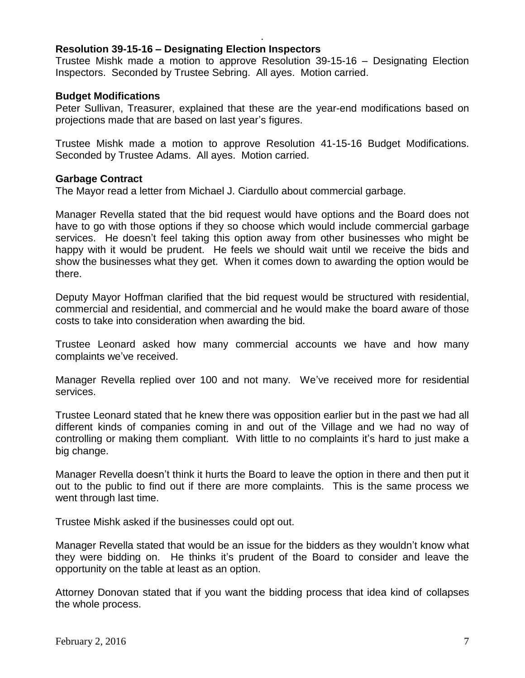### **Resolution 39-15-16 – Designating Election Inspectors**

Trustee Mishk made a motion to approve Resolution 39-15-16 – Designating Election Inspectors. Seconded by Trustee Sebring. All ayes. Motion carried.

.

### **Budget Modifications**

Peter Sullivan, Treasurer, explained that these are the year-end modifications based on projections made that are based on last year's figures.

Trustee Mishk made a motion to approve Resolution 41-15-16 Budget Modifications. Seconded by Trustee Adams. All ayes. Motion carried.

#### **Garbage Contract**

The Mayor read a letter from Michael J. Ciardullo about commercial garbage.

Manager Revella stated that the bid request would have options and the Board does not have to go with those options if they so choose which would include commercial garbage services. He doesn't feel taking this option away from other businesses who might be happy with it would be prudent. He feels we should wait until we receive the bids and show the businesses what they get. When it comes down to awarding the option would be there.

Deputy Mayor Hoffman clarified that the bid request would be structured with residential, commercial and residential, and commercial and he would make the board aware of those costs to take into consideration when awarding the bid.

Trustee Leonard asked how many commercial accounts we have and how many complaints we've received.

Manager Revella replied over 100 and not many. We've received more for residential services.

Trustee Leonard stated that he knew there was opposition earlier but in the past we had all different kinds of companies coming in and out of the Village and we had no way of controlling or making them compliant. With little to no complaints it's hard to just make a big change.

Manager Revella doesn't think it hurts the Board to leave the option in there and then put it out to the public to find out if there are more complaints. This is the same process we went through last time.

Trustee Mishk asked if the businesses could opt out.

Manager Revella stated that would be an issue for the bidders as they wouldn't know what they were bidding on. He thinks it's prudent of the Board to consider and leave the opportunity on the table at least as an option.

Attorney Donovan stated that if you want the bidding process that idea kind of collapses the whole process.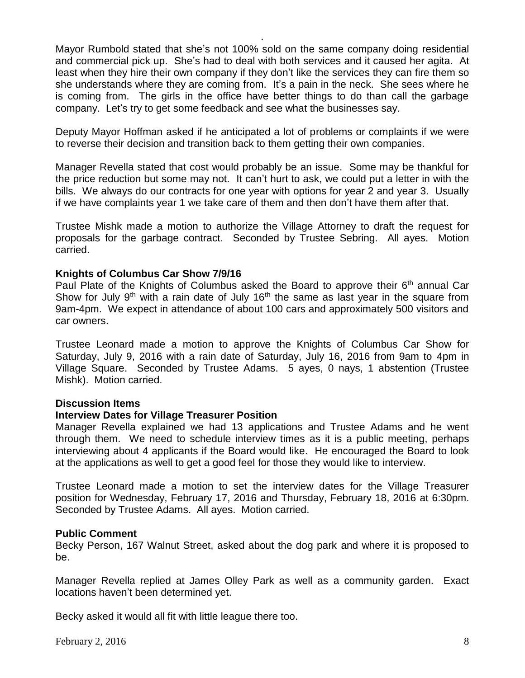Mayor Rumbold stated that she's not 100% sold on the same company doing residential and commercial pick up. She's had to deal with both services and it caused her agita. At least when they hire their own company if they don't like the services they can fire them so she understands where they are coming from. It's a pain in the neck. She sees where he is coming from. The girls in the office have better things to do than call the garbage company. Let's try to get some feedback and see what the businesses say.

.

Deputy Mayor Hoffman asked if he anticipated a lot of problems or complaints if we were to reverse their decision and transition back to them getting their own companies.

Manager Revella stated that cost would probably be an issue. Some may be thankful for the price reduction but some may not. It can't hurt to ask, we could put a letter in with the bills. We always do our contracts for one year with options for year 2 and year 3. Usually if we have complaints year 1 we take care of them and then don't have them after that.

Trustee Mishk made a motion to authorize the Village Attorney to draft the request for proposals for the garbage contract. Seconded by Trustee Sebring. All ayes. Motion carried.

#### **Knights of Columbus Car Show 7/9/16**

Paul Plate of the Knights of Columbus asked the Board to approve their  $6<sup>th</sup>$  annual Car Show for July 9<sup>th</sup> with a rain date of July 16<sup>th</sup> the same as last year in the square from 9am-4pm. We expect in attendance of about 100 cars and approximately 500 visitors and car owners.

Trustee Leonard made a motion to approve the Knights of Columbus Car Show for Saturday, July 9, 2016 with a rain date of Saturday, July 16, 2016 from 9am to 4pm in Village Square. Seconded by Trustee Adams. 5 ayes, 0 nays, 1 abstention (Trustee Mishk). Motion carried.

#### **Discussion Items**

#### **Interview Dates for Village Treasurer Position**

Manager Revella explained we had 13 applications and Trustee Adams and he went through them. We need to schedule interview times as it is a public meeting, perhaps interviewing about 4 applicants if the Board would like. He encouraged the Board to look at the applications as well to get a good feel for those they would like to interview.

Trustee Leonard made a motion to set the interview dates for the Village Treasurer position for Wednesday, February 17, 2016 and Thursday, February 18, 2016 at 6:30pm. Seconded by Trustee Adams. All ayes. Motion carried.

#### **Public Comment**

Becky Person, 167 Walnut Street, asked about the dog park and where it is proposed to be.

Manager Revella replied at James Olley Park as well as a community garden. Exact locations haven't been determined yet.

Becky asked it would all fit with little league there too.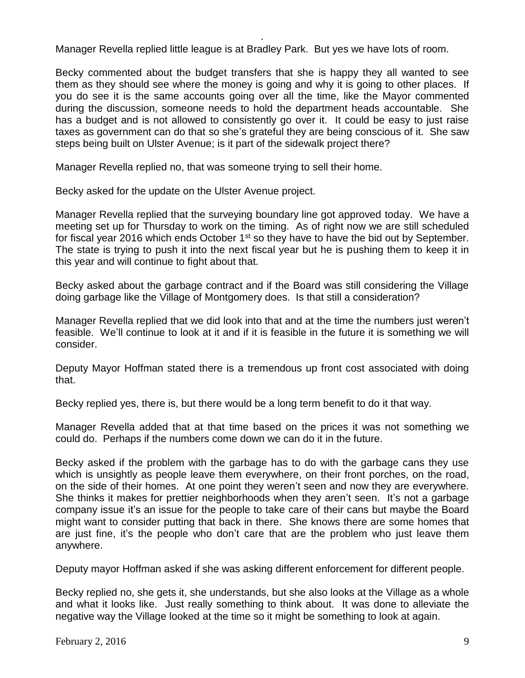Manager Revella replied little league is at Bradley Park. But yes we have lots of room.

.

Becky commented about the budget transfers that she is happy they all wanted to see them as they should see where the money is going and why it is going to other places. If you do see it is the same accounts going over all the time, like the Mayor commented during the discussion, someone needs to hold the department heads accountable. She has a budget and is not allowed to consistently go over it. It could be easy to just raise taxes as government can do that so she's grateful they are being conscious of it. She saw steps being built on Ulster Avenue; is it part of the sidewalk project there?

Manager Revella replied no, that was someone trying to sell their home.

Becky asked for the update on the Ulster Avenue project.

Manager Revella replied that the surveying boundary line got approved today. We have a meeting set up for Thursday to work on the timing. As of right now we are still scheduled for fiscal year 2016 which ends October  $1<sup>st</sup>$  so they have to have the bid out by September. The state is trying to push it into the next fiscal year but he is pushing them to keep it in this year and will continue to fight about that.

Becky asked about the garbage contract and if the Board was still considering the Village doing garbage like the Village of Montgomery does. Is that still a consideration?

Manager Revella replied that we did look into that and at the time the numbers just weren't feasible. We'll continue to look at it and if it is feasible in the future it is something we will consider.

Deputy Mayor Hoffman stated there is a tremendous up front cost associated with doing that.

Becky replied yes, there is, but there would be a long term benefit to do it that way.

Manager Revella added that at that time based on the prices it was not something we could do. Perhaps if the numbers come down we can do it in the future.

Becky asked if the problem with the garbage has to do with the garbage cans they use which is unsightly as people leave them everywhere, on their front porches, on the road, on the side of their homes. At one point they weren't seen and now they are everywhere. She thinks it makes for prettier neighborhoods when they aren't seen. It's not a garbage company issue it's an issue for the people to take care of their cans but maybe the Board might want to consider putting that back in there. She knows there are some homes that are just fine, it's the people who don't care that are the problem who just leave them anywhere.

Deputy mayor Hoffman asked if she was asking different enforcement for different people.

Becky replied no, she gets it, she understands, but she also looks at the Village as a whole and what it looks like. Just really something to think about. It was done to alleviate the negative way the Village looked at the time so it might be something to look at again.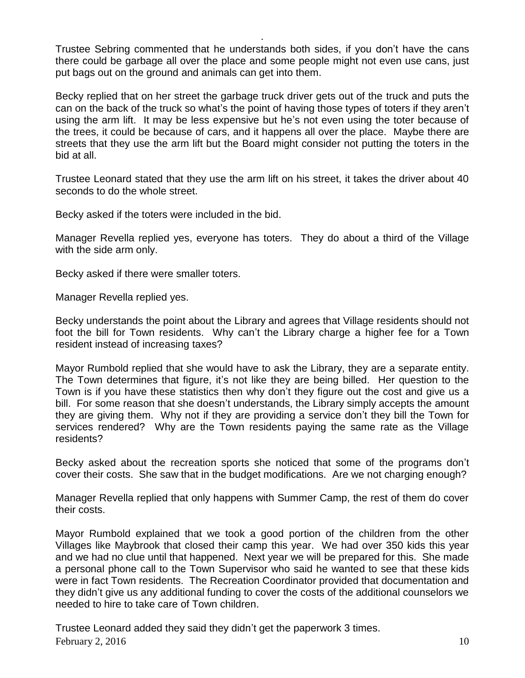Trustee Sebring commented that he understands both sides, if you don't have the cans there could be garbage all over the place and some people might not even use cans, just put bags out on the ground and animals can get into them.

.

Becky replied that on her street the garbage truck driver gets out of the truck and puts the can on the back of the truck so what's the point of having those types of toters if they aren't using the arm lift. It may be less expensive but he's not even using the toter because of the trees, it could be because of cars, and it happens all over the place. Maybe there are streets that they use the arm lift but the Board might consider not putting the toters in the bid at all.

Trustee Leonard stated that they use the arm lift on his street, it takes the driver about 40 seconds to do the whole street.

Becky asked if the toters were included in the bid.

Manager Revella replied yes, everyone has toters. They do about a third of the Village with the side arm only.

Becky asked if there were smaller toters.

Manager Revella replied yes.

Becky understands the point about the Library and agrees that Village residents should not foot the bill for Town residents. Why can't the Library charge a higher fee for a Town resident instead of increasing taxes?

Mayor Rumbold replied that she would have to ask the Library, they are a separate entity. The Town determines that figure, it's not like they are being billed. Her question to the Town is if you have these statistics then why don't they figure out the cost and give us a bill. For some reason that she doesn't understands, the Library simply accepts the amount they are giving them. Why not if they are providing a service don't they bill the Town for services rendered? Why are the Town residents paying the same rate as the Village residents?

Becky asked about the recreation sports she noticed that some of the programs don't cover their costs. She saw that in the budget modifications. Are we not charging enough?

Manager Revella replied that only happens with Summer Camp, the rest of them do cover their costs.

Mayor Rumbold explained that we took a good portion of the children from the other Villages like Maybrook that closed their camp this year. We had over 350 kids this year and we had no clue until that happened. Next year we will be prepared for this. She made a personal phone call to the Town Supervisor who said he wanted to see that these kids were in fact Town residents. The Recreation Coordinator provided that documentation and they didn't give us any additional funding to cover the costs of the additional counselors we needed to hire to take care of Town children.

 $F<sub>e</sub>$  February 2, 2016 10 Trustee Leonard added they said they didn't get the paperwork 3 times.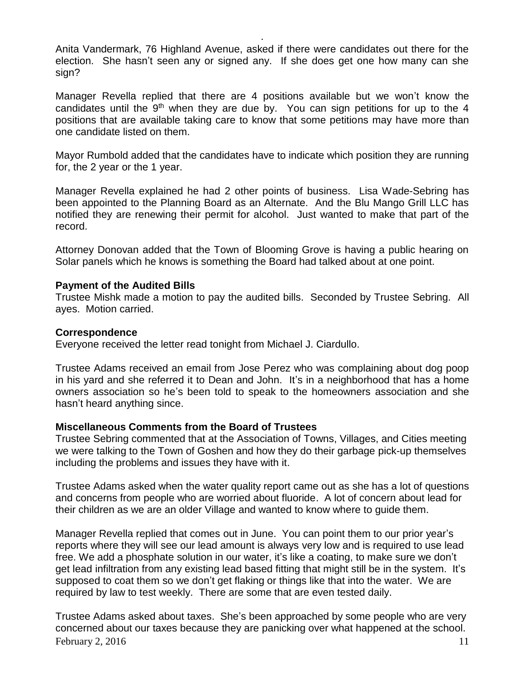Anita Vandermark, 76 Highland Avenue, asked if there were candidates out there for the election. She hasn't seen any or signed any. If she does get one how many can she sign?

.

Manager Revella replied that there are 4 positions available but we won't know the candidates until the  $9<sup>th</sup>$  when they are due by. You can sign petitions for up to the 4 positions that are available taking care to know that some petitions may have more than one candidate listed on them.

Mayor Rumbold added that the candidates have to indicate which position they are running for, the 2 year or the 1 year.

Manager Revella explained he had 2 other points of business. Lisa Wade-Sebring has been appointed to the Planning Board as an Alternate. And the Blu Mango Grill LLC has notified they are renewing their permit for alcohol. Just wanted to make that part of the record.

Attorney Donovan added that the Town of Blooming Grove is having a public hearing on Solar panels which he knows is something the Board had talked about at one point.

#### **Payment of the Audited Bills**

Trustee Mishk made a motion to pay the audited bills. Seconded by Trustee Sebring. All ayes. Motion carried.

#### **Correspondence**

Everyone received the letter read tonight from Michael J. Ciardullo.

Trustee Adams received an email from Jose Perez who was complaining about dog poop in his yard and she referred it to Dean and John. It's in a neighborhood that has a home owners association so he's been told to speak to the homeowners association and she hasn't heard anything since.

#### **Miscellaneous Comments from the Board of Trustees**

Trustee Sebring commented that at the Association of Towns, Villages, and Cities meeting we were talking to the Town of Goshen and how they do their garbage pick-up themselves including the problems and issues they have with it.

Trustee Adams asked when the water quality report came out as she has a lot of questions and concerns from people who are worried about fluoride. A lot of concern about lead for their children as we are an older Village and wanted to know where to guide them.

Manager Revella replied that comes out in June. You can point them to our prior year's reports where they will see our lead amount is always very low and is required to use lead free. We add a phosphate solution in our water, it's like a coating, to make sure we don't get lead infiltration from any existing lead based fitting that might still be in the system. It's supposed to coat them so we don't get flaking or things like that into the water. We are required by law to test weekly. There are some that are even tested daily.

February 2, 2016  $11$ Trustee Adams asked about taxes. She's been approached by some people who are very concerned about our taxes because they are panicking over what happened at the school.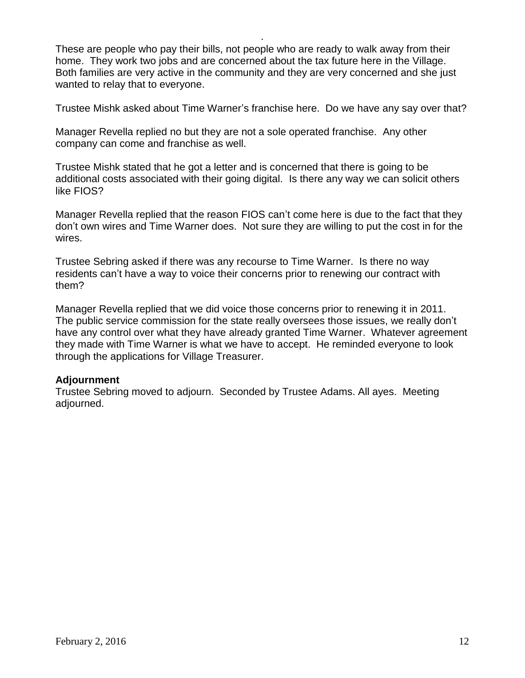These are people who pay their bills, not people who are ready to walk away from their home. They work two jobs and are concerned about the tax future here in the Village. Both families are very active in the community and they are very concerned and she just wanted to relay that to everyone.

.

Trustee Mishk asked about Time Warner's franchise here. Do we have any say over that?

Manager Revella replied no but they are not a sole operated franchise. Any other company can come and franchise as well.

Trustee Mishk stated that he got a letter and is concerned that there is going to be additional costs associated with their going digital. Is there any way we can solicit others like FIOS?

Manager Revella replied that the reason FIOS can't come here is due to the fact that they don't own wires and Time Warner does. Not sure they are willing to put the cost in for the wires.

Trustee Sebring asked if there was any recourse to Time Warner. Is there no way residents can't have a way to voice their concerns prior to renewing our contract with them?

Manager Revella replied that we did voice those concerns prior to renewing it in 2011. The public service commission for the state really oversees those issues, we really don't have any control over what they have already granted Time Warner. Whatever agreement they made with Time Warner is what we have to accept. He reminded everyone to look through the applications for Village Treasurer.

## **Adjournment**

Trustee Sebring moved to adjourn. Seconded by Trustee Adams. All ayes. Meeting adjourned.